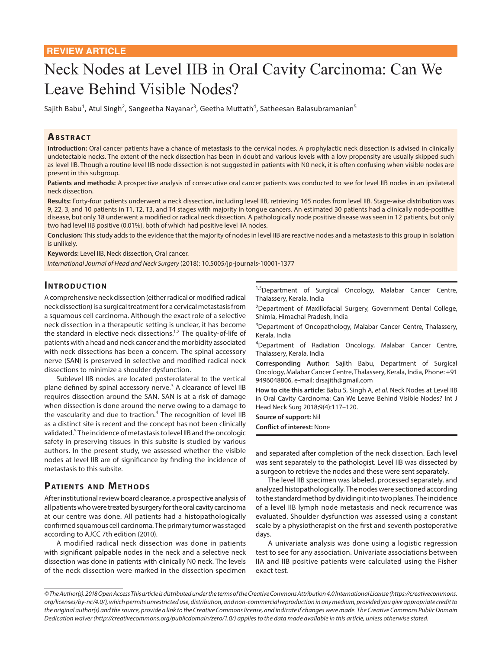# Neck Nodes at Level IIB in Oral Cavity Carcinoma: Can We Leave Behind Visible Nodes?

Sajith Babu<sup>1</sup>, Atul Singh<sup>2</sup>, Sangeetha Nayanar<sup>3</sup>, Geetha Muttath<sup>4</sup>, Satheesan Balasubramanian<sup>5</sup>

## **ABSTRACT**

**Introduction:** Oral cancer patients have a chance of metastasis to the cervical nodes. A prophylactic neck dissection is advised in clinically undetectable necks. The extent of the neck dissection has been in doubt and various levels with a low propensity are usually skipped such as level IIB. Though a routine level IIB node dissection is not suggested in patients with N0 neck, it is often confusing when visible nodes are present in this subgroup.

**Patients and methods:** A prospective analysis of consecutive oral cancer patients was conducted to see for level IIB nodes in an ipsilateral neck dissection.

**Results:** Forty-four patients underwent a neck dissection, including level IIB, retrieving 165 nodes from level IIB. Stage-wise distribution was 9, 22, 3, and 10 patients in T1, T2, T3, and T4 stages with majority in tongue cancers. An estimated 30 patients had a clinically node-positive disease, but only 18 underwent a modified or radical neck dissection. A pathologically node positive disease was seen in 12 patients, but only two had level IIB positive (0.01%), both of which had positive level IIA nodes.

**Conclusion:** This study adds to the evidence that the majority of nodes in level IIB are reactive nodes and a metastasis to this group in isolation is unlikely.

**Keywords:** Level IIB, Neck dissection, Oral cancer.

*International Journal of Head and Neck Surgery* (2018): 10.5005/jp-journals-10001-1377

## **INTRODUCTION**

A comprehensive neck dissection (either radical or modified radical neck dissection) is a surgical treatment for a cervical metastasis from a squamous cell carcinoma. Although the exact role of a selective neck dissection in a therapeutic setting is unclear, it has become the standard in elective neck dissections.<sup>1,2</sup> The quality-of-life of patients with a head and neck cancer and the morbidity associated with neck dissections has been a concern. The spinal accessory nerve (SAN) is preserved in selective and modified radical neck dissections to minimize a shoulder dysfunction.

Sublevel IIB nodes are located posterolateral to the vertical plane defined by spinal accessory nerve.<sup>3</sup> A clearance of level IIB requires dissection around the SAN. SAN is at a risk of damage when dissection is done around the nerve owing to a damage to the vascularity and due to traction.<sup>4</sup> The recognition of level IIB as a distinct site is recent and the concept has not been clinically validated.<sup>5</sup> The incidence of metastasis to level IIB and the oncologic safety in preserving tissues in this subsite is studied by various authors. In the present study, we assessed whether the visible nodes at level IIB are of significance by finding the incidence of metastasis to this subsite.

## **PATIENTS AND METHODS**

After institutional review board clearance, a prospective analysis of all patients who were treated by surgery for the oral cavity carcinoma at our centre was done. All patients had a histopathologically confirmed squamous cell carcinoma. The primary tumor was staged according to AJCC 7th edition (2010).

A modified radical neck dissection was done in patients with significant palpable nodes in the neck and a selective neck dissection was done in patients with clinically N0 neck. The levels of the neck dissection were marked in the dissection specimen

<sup>1,5</sup>Department of Surgical Oncology, Malabar Cancer Centre, Thalassery, Kerala, India

<sup>2</sup>Department of Maxillofacial Surgery, Government Dental College, Shimla, Himachal Pradesh, India

<sup>3</sup>Department of Oncopathology, Malabar Cancer Centre, Thalassery, Kerala, India

<sup>4</sup>Department of Radiation Oncology, Malabar Cancer Centre, Thalassery, Kerala, India

**Corresponding Author:** Sajith Babu, Department of Surgical Oncology, Malabar Cancer Centre, Thalassery, Kerala, India, Phone: +91 9496048806, e-mail: drsajith@gmail.com

**How to cite this article:** Babu S, Singh A, *et al.* Neck Nodes at Level IIB in Oral Cavity Carcinoma: Can We Leave Behind Visible Nodes? Int J Head Neck Surg 2018;9(4):117–120.

**Source of support:** Nil

**Conflict of interest:** None

and separated after completion of the neck dissection. Each level was sent separately to the pathologist. Level IIB was dissected by a surgeon to retrieve the nodes and these were sent separately.

The level IIB specimen was labeled, processed separately, and analyzed histopathologically. The nodes were sectioned according to the standard method by dividing it into two planes. The incidence of a level IIB lymph node metastasis and neck recurrence was evaluated. Shoulder dysfunction was assessed using a constant scale by a physiotherapist on the first and seventh postoperative days.

A univariate analysis was done using a logistic regression test to see for any association. Univariate associations between IIA and IIB positive patients were calculated using the Fisher exact test.

*<sup>©</sup> The Author(s). 2018 Open Access This article is distributed under the terms of the Creative Commons Attribution 4.0 International License (https://creativecommons. org/licenses/by-nc/4.0/), which permits unrestricted use, distribution, and non-commercial reproduction in any medium, provided you give appropriate credit to the original author(s) and the source, provide a link to the Creative Commons license, and indicate if changes were made. The Creative Commons Public Domain Dedication waiver (http://creativecommons.org/publicdomain/zero/1.0/) applies to the data made available in this article, unless otherwise stated.*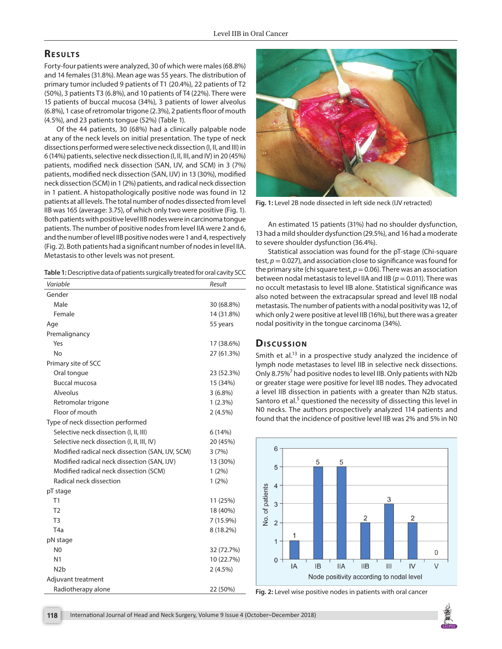## **RESULTS**

Forty-four patients were analyzed, 30 of which were males (68.8%) and 14 females (31.8%). Mean age was 55 years. The distribution of primary tumor included 9 patients of T1 (20.4%), 22 patients of T2 (50%), 3 patients T3 (6.8%), and 10 patients of T4 (22%). There were 15 patients of buccal mucosa (34%), 3 patients of lower alveolus (6.8%), 1 case of retromolar trigone (2.3%), 2 patients floor of mouth (4.5%), and 23 patients tongue (52%) (Table 1).

Of the 44 patients, 30 (68%) had a clinically palpable node at any of the neck levels on initial presentation. The type of neck dissections performed were selective neck dissection (I, II, and III) in 6 (14%) patients, selective neck dissection (I, II, III, and IV) in 20 (45%) patients, modified neck dissection (SAN, IJV, and SCM) in 3 (7%) patients, modified neck dissection (SAN, IJV) in 13 (30%), modified neck dissection (SCM) in 1 (2%) patients, and radical neck dissection in 1 patient. A histopathologically positive node was found in 12 patients at all levels. The total number of nodes dissected from level IIB was 165 (average: 3.75), of which only two were positive (Fig. 1). Both patients with positive level IIB nodes were in carcinoma tongue patients. The number of positive nodes from level IIA were 2 and 6, and the number of level IIB positive nodes were 1 and 4, respectively (Fig. 2). Both patients had a significant number of nodes in level IIA. Metastasis to other levels was not present.

|  | Table 1: Descriptive data of patients surgically treated for oral cavity SCC |  |
|--|------------------------------------------------------------------------------|--|
|  |                                                                              |  |

| Variable                                         | Result      |
|--------------------------------------------------|-------------|
| Gender                                           |             |
| Male                                             | 30 (68.8%)  |
| Female                                           | 14 (31.8%)  |
| Age                                              | 55 years    |
| Premalignancy                                    |             |
| Yes                                              | 17 (38.6%)  |
| No                                               | 27 (61.3%)  |
| Primary site of SCC                              |             |
| Oral tongue                                      | 23 (52.3%)  |
| <b>Buccal mucosa</b>                             | 15 (34%)    |
| Alveolus                                         | $3(6.8\%)$  |
| Retromolar trigone                               | 1(2.3%)     |
| Floor of mouth                                   | 2(4.5%)     |
| Type of neck dissection performed                |             |
| Selective neck dissection (I, II, III)           | 6(14%)      |
| Selective neck dissection (I, II, III, IV)       | 20 (45%)    |
| Modified radical neck dissection (SAN, IJV, SCM) | 3(7%)       |
| Modified radical neck dissection (SAN, IJV)      | 13 (30%)    |
| Modified radical neck dissection (SCM)           | $1(2\%)$    |
| Radical neck dissection                          | $1(2\%)$    |
| pT stage                                         |             |
| T1                                               | 11 (25%)    |
| T <sub>2</sub>                                   | 18 (40%)    |
| T <sub>3</sub>                                   | $7(15.9\%)$ |
| T <sub>4</sub> a                                 | 8 (18.2%)   |
| pN stage                                         |             |
| N <sub>0</sub>                                   | 32 (72.7%)  |
| N <sub>1</sub>                                   | 10 (22.7%)  |
| N <sub>2</sub> b                                 | 2(4.5%)     |
| Adjuvant treatment                               |             |
| Radiotherapy alone                               | 22 (50%)    |



**Fig. 1:** Level 2B node dissected in left side neck (IJV retracted)

An estimated 15 patients (31%) had no shoulder dysfunction, 13 had a mild shoulder dysfunction (29.5%), and 16 had a moderate to severe shoulder dysfunction (36.4%).

Statistical association was found for the pT-stage (Chi-square test,  $p = 0.027$ ), and association close to significance was found for the primary site (chi square test,  $p = 0.06$ ). There was an association between nodal metastasis to level IIA and IIB (*p* = 0.011). There was no occult metastasis to level IIB alone. Statistical significance was also noted between the extracapsular spread and level IIB nodal metastasis. The number of patients with a nodal positivity was 12, of which only 2 were positive at level IIB (16%), but there was a greater nodal positivity in the tongue carcinoma (34%).

### **Dis c u s sio n**

Smith et  $al^{13}$  in a prospective study analyzed the incidence of lymph node metastases to level IIB in selective neck dissections. Only 8.75%<sup>7</sup> had positive nodes to level IIB. Only patients with N2b or greater stage were positive for level IIB nodes. They advocated a level IIB dissection in patients with a greater than N2b status. Santoro et al.<sup>5</sup> questioned the necessity of dissecting this level in N0 necks. The authors prospectively analyzed 114 patients and found that the incidence of positive level IIB was 2% and 5% in N0



Fig. 2: Level wise positive nodes in patients with oral cancer

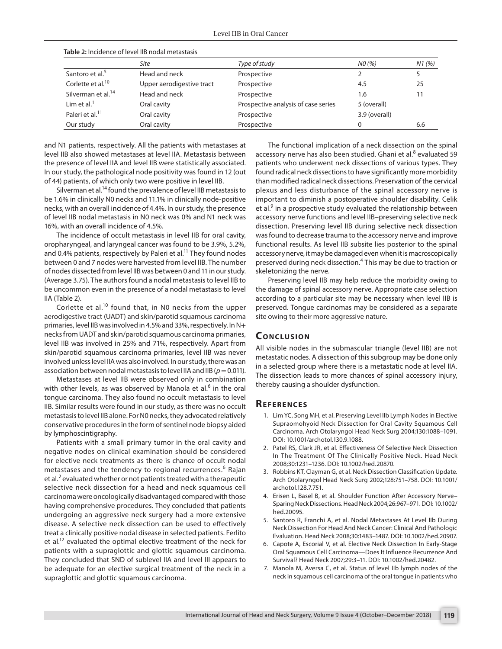|                                | <b>Table 2:</b> Incidence of level IIB nodal metastasis |                                     |               |       |
|--------------------------------|---------------------------------------------------------|-------------------------------------|---------------|-------|
|                                | Site                                                    | Type of study                       | NO(%)         | N1(%) |
| Santoro et al. <sup>5</sup>    | Head and neck                                           | Prospective                         |               |       |
| Corlette et al. <sup>10</sup>  | Upper aerodigestive tract                               | Prospective                         | 4.5           | 25    |
| Silverman et al. <sup>14</sup> | Head and neck                                           | Prospective                         | 1.6           |       |
| Lim et al. $1$                 | Oral cavity                                             | Prospective analysis of case series | 5 (overall)   |       |
| Paleri et al. <sup>11</sup>    | Oral cavity                                             | Prospective                         | 3.9 (overall) |       |
| Our study                      | Oral cavity                                             | Prospective                         |               | 6.6   |

**Table 2:** Incidence of level IIB nodal metastasis

and N1 patients, respectively. All the patients with metastases at level IIB also showed metastases at level IIA. Metastasis between the presence of level IIA and level IIB were statistically associated. In our study, the pathological node positivity was found in 12 (out of 44) patients, of which only two were positive in level IIB.

Silverman et al.<sup>14</sup> found the prevalence of level IIB metastasis to be 1.6% in clinically N0 necks and 11.1% in clinically node-positive necks, with an overall incidence of 4.4%. In our study, the presence of level IIB nodal metastasis in N0 neck was 0% and N1 neck was 16%, with an overall incidence of 4.5%.

The incidence of occult metastasis in level IIB for oral cavity, oropharyngeal, and laryngeal cancer was found to be 3.9%, 5.2%, and 0.4% patients, respectively by Paleri et al.<sup>11</sup> They found nodes between 0 and 7 nodes were harvested from level IIB. The number of nodes dissected from level IIB was between 0 and 11 in our study. (Average 3.75). The authors found a nodal metastasis to level IIB to be uncommon even in the presence of a nodal metastasis to level IIA (Table 2).

Corlette et al.<sup>10</sup> found that, in N0 necks from the upper aerodigestive tract (UADT) and skin/parotid squamous carcinoma primaries, level IIB was involved in 4.5% and 33%, respectively. In N+ necks from UADT and skin/parotid squamous carcinoma primaries, level IIB was involved in 25% and 71%, respectively. Apart from skin/parotid squamous carcinoma primaries, level IIB was never involved unless level IIA was also involved. In our study, there was an association between nodal metastasis to level IIA and IIB ( $p = 0.011$ ).

Metastases at level IIB were observed only in combination with other levels, as was observed by Manola et al.<sup>6</sup> in the oral tongue carcinoma. They also found no occult metastasis to level IIB. Similar results were found in our study, as there was no occult metastasis to level IIB alone. For N0 necks, they advocated relatively conservative procedures in the form of sentinel node biopsy aided by lymphoscintigraphy.

Patients with a small primary tumor in the oral cavity and negative nodes on clinical examination should be considered for elective neck treatments as there is chance of occult nodal metastases and the tendency to regional recurrences.<sup>6</sup> Rajan et al.<sup>2</sup> evaluated whether or not patients treated with a therapeutic selective neck dissection for a head and neck squamous cell carcinoma were oncologically disadvantaged compared with those having comprehensive procedures. They concluded that patients undergoing an aggressive neck surgery had a more extensive disease. A selective neck dissection can be used to effectively treat a clinically positive nodal disease in selected patients. Ferlito et al.<sup>12</sup> evaluated the optimal elective treatment of the neck for patients with a supraglottic and glottic squamous carcinoma. They concluded that SND of sublevel IIA and level III appears to be adequate for an elective surgical treatment of the neck in a supraglottic and glottic squamous carcinoma.

The functional implication of a neck dissection on the spinal accessory nerve has also been studied. Ghani et al. $^8$  evaluated 59 patients who underwent neck dissections of various types. They found radical neck dissections to have significantly more morbidity than modified radical neck dissections. Preservation of the cervical plexus and less disturbance of the spinal accessory nerve is important to diminish a postoperative shoulder disability. Celik et al.<sup>9</sup> in a prospective study evaluated the relationship between accessory nerve functions and level IIB–preserving selective neck dissection. Preserving level IIB during selective neck dissection was found to decrease trauma to the accessory nerve and improve functional results. As level IIB subsite lies posterior to the spinal accessory nerve, it may be damaged even when it is macroscopically preserved during neck dissection.<sup>4</sup> This may be due to traction or skeletonizing the nerve.

Preserving level IIB may help reduce the morbidity owing to the damage of spinal accessory nerve. Appropriate case selection according to a particular site may be necessary when level IIB is preserved. Tongue carcinomas may be considered as a separate site owing to their more aggressive nature.

#### **CONCLUSION**

All visible nodes in the submascular triangle (level IIB) are not metastatic nodes. A dissection of this subgroup may be done only in a selected group where there is a metastatic node at level IIA. The dissection leads to more chances of spinal accessory injury, thereby causing a shoulder dysfunction.

#### **REFERENCES**

- 1. Lim YC, Song MH, et al. Preserving Level IIb Lymph Nodes in Elective Supraomohyoid Neck Dissection for Oral Cavity Squamous Cell Carcinoma. Arch Otolaryngol Head Neck Surg 2004;130:1088–1091. DOI: 10.1001/archotol.130.9.1088.
- 2. Patel RS, Clark JR, et al. Effectiveness Of Selective Neck Dissection In The Treatment Of The Clinically Positive Neck. Head Neck 2008;30:1231–1236. DOI: 10.1002/hed.20870.
- 3. Robbins KT, Clayman G, et al. Neck Dissection Classification Update. Arch Otolaryngol Head Neck Surg 2002;128:751–758. DOI: 10.1001/ archotol.128.7.751.
- 4. Erisen L, Basel B, et al. Shoulder Function After Accessory Nerve– Sparing Neck Dissections. Head Neck 2004;26:967–971. DOI: 10.1002/ hed.20095.
- 5. Santoro R, Franchi A, et al. Nodal Metastases At Level IIb During Neck Dissection For Head And Neck Cancer: Clinical And Pathologic Evaluation. Head Neck 2008;30:1483–1487. DOI: 10.1002/hed.20907.
- 6. Capote A, Escorial V, et al. Elective Neck Dissection In Early-Stage Oral Squamous Cell Carcinoma—Does It Influence Recurrence And Survival? Head Neck 2007;29:3–11. DOI: 10.1002/hed.20482.
- 7. Manola M, Aversa C, et al. Status of level IIb lymph nodes of the neck in squamous cell carcinoma of the oral tongue in patients who